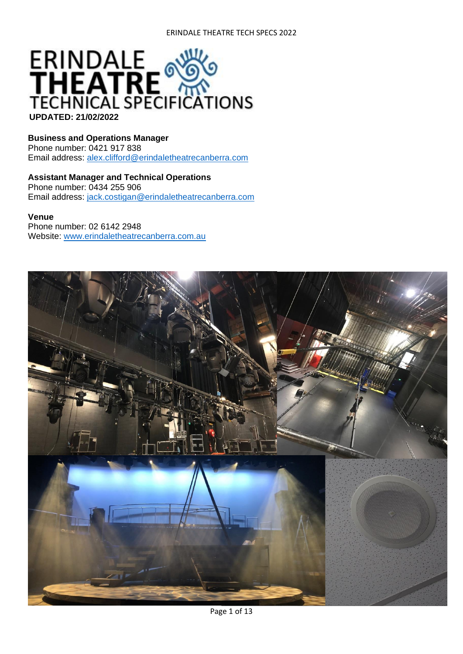

#### **Business and Operations Manager**

Phone number: 0421 917 838 Email address: [alex.clifford@erindaletheatrecanberra.com](mailto:alex.clifford@erindaletheatrecanberra.com)

#### **Assistant Manager and Technical Operations** Phone number: 0434 255 906

Email address: [jack.costigan@erindaletheatrecanberra.com](mailto:jack.costigan@erindaletheatrecanberra.com)

#### **Venue**

Phone number: 02 6142 2948 Website: [www.erindaletheatrecanberra.com.au](http://www.erindaletheatrecanberra.com.au/)

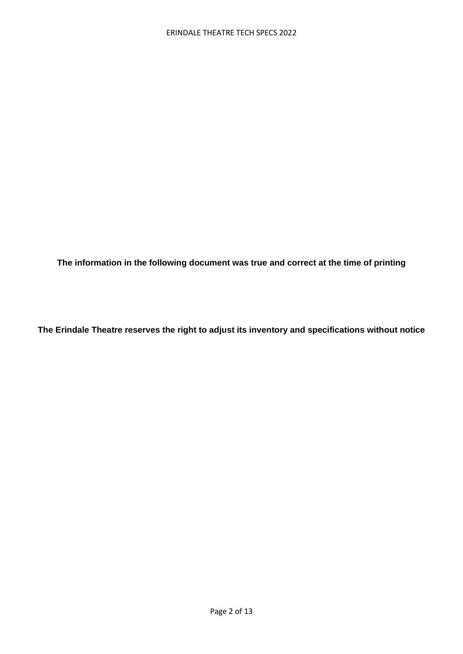**The information in the following document was true and correct at the time of printing**

**The Erindale Theatre reserves the right to adjust its inventory and specifications without notice**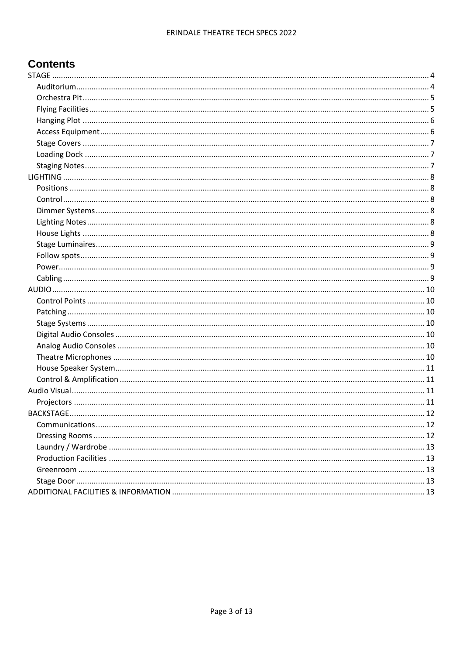# **Contents**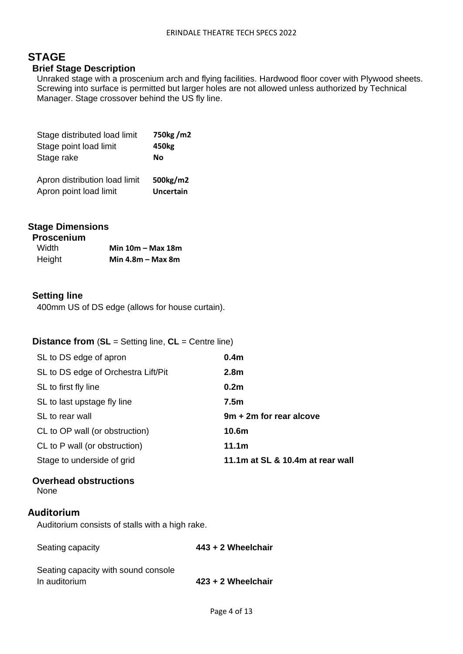# <span id="page-3-0"></span>**STAGE**

### **Brief Stage Description**

Unraked stage with a proscenium arch and flying facilities. Hardwood floor cover with Plywood sheets. Screwing into surface is permitted but larger holes are not allowed unless authorized by Technical Manager. Stage crossover behind the US fly line.

| Stage distributed load limit  | 750kg/m2         |
|-------------------------------|------------------|
| Stage point load limit        | 450kg            |
| Stage rake                    | Nο               |
|                               |                  |
| Apron distribution load limit | 500kg/m2         |
| Apron point load limit        | <b>Uncertain</b> |

### **Stage Dimensions**

| <b>Proscenium</b> |                     |
|-------------------|---------------------|
| <b>Width</b>      | Min $10m - Max 18m$ |
| Height            | Min $4.8m - Max 8m$ |

### **Setting line**

400mm US of DS edge (allows for house curtain).

#### **Distance from** (**SL** = Setting line, **CL** = Centre line)

| SL to DS edge of apron              | 0.4 <sub>m</sub>                 |
|-------------------------------------|----------------------------------|
| SL to DS edge of Orchestra Lift/Pit | 2.8 <sub>m</sub>                 |
| SL to first fly line                | 0.2 <sub>m</sub>                 |
| SL to last upstage fly line         | 7.5m                             |
| SL to rear wall                     | 9m + 2m for rear alcove          |
| CL to OP wall (or obstruction)      | 10.6 <sub>m</sub>                |
| CL to P wall (or obstruction)       | 11.1 <sub>m</sub>                |
| Stage to underside of grid          | 11.1m at SL & 10.4m at rear wall |
|                                     |                                  |

### **Overhead obstructions**

None

#### <span id="page-3-1"></span>**Auditorium**

Auditorium consists of stalls with a high rake.

| Seating capacity                    | 443 + 2 Wheelchair |
|-------------------------------------|--------------------|
| Seating capacity with sound console |                    |
| In auditorium                       | 423 + 2 Wheelchair |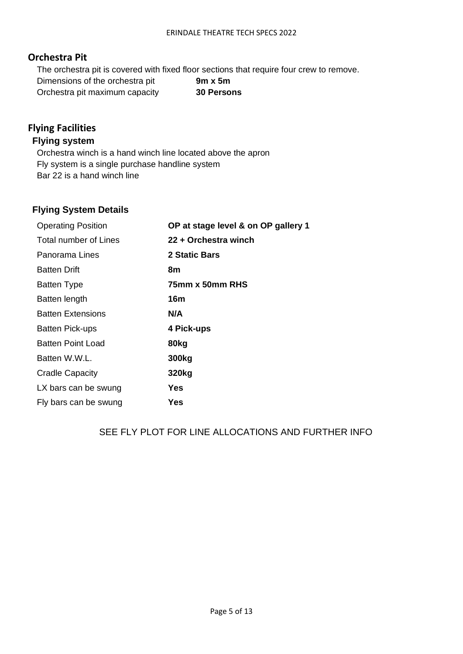### <span id="page-4-0"></span>**Orchestra Pit**

The orchestra pit is covered with fixed floor sections that require four crew to remove. Dimensions of the orchestra pit **9m x 5m** Orchestra pit maximum capacity **30 Persons**

# <span id="page-4-1"></span>**Flying Facilities**

### **Flying system**

Orchestra winch is a hand winch line located above the apron Fly system is a single purchase handline system Bar 22 is a hand winch line

## **Flying System Details**

| <b>Operating Position</b> | OP at stage level & on OP gallery 1 |
|---------------------------|-------------------------------------|
| Total number of Lines     | 22 + Orchestra winch                |
| Panorama Lines            | 2 Static Bars                       |
| <b>Batten Drift</b>       | 8m                                  |
| <b>Batten Type</b>        | 75mm x 50mm RHS                     |
| Batten length             | 16m                                 |
| <b>Batten Extensions</b>  | N/A                                 |
| Batten Pick-ups           | 4 Pick-ups                          |
| Batten Point Load         | 80kg                                |
| Batten W.W.L.             | 300 <sub>kg</sub>                   |
| <b>Cradle Capacity</b>    | 320kg                               |
| LX bars can be swung      | Yes                                 |
| Fly bars can be swung     | Yes                                 |

## SEE FLY PLOT FOR LINE ALLOCATIONS AND FURTHER INFO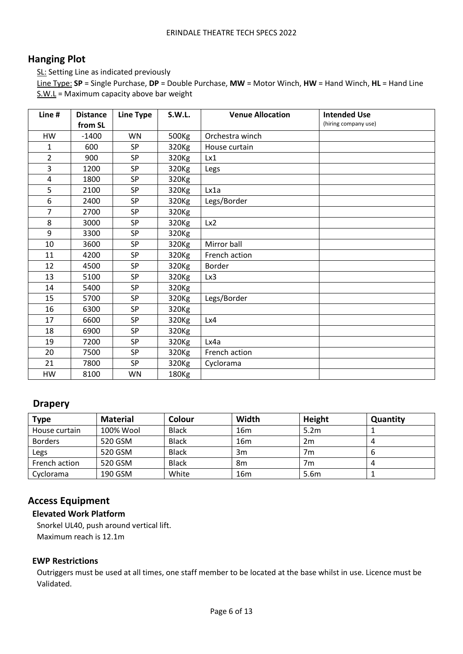## <span id="page-5-0"></span>**Hanging Plot**

SL: Setting Line as indicated previously

Line Type: **SP** = Single Purchase, **DP** = Double Purchase, **MW** = Motor Winch, **HW** = Hand Winch, **HL** = Hand Line  $S.W.L =$  Maximum capacity above bar weight

| Line#          | <b>Distance</b> | <b>Line Type</b> | <b>S.W.L.</b>     | <b>Venue Allocation</b> | <b>Intended Use</b>  |
|----------------|-----------------|------------------|-------------------|-------------------------|----------------------|
|                | from SL         |                  |                   |                         | (hiring company use) |
| <b>HW</b>      | $-1400$         | <b>WN</b>        | 500Kg             | Orchestra winch         |                      |
| 1              | 600             | <b>SP</b>        | 320 <sub>Kg</sub> | House curtain           |                      |
| $\overline{2}$ | 900             | <b>SP</b>        | 320Kg             | Lx1                     |                      |
| 3              | 1200            | SP               | 320Kg             | Legs                    |                      |
| $\overline{4}$ | 1800            | SP               | 320Kg             |                         |                      |
| 5              | 2100            | <b>SP</b>        | 320Kg             | Lx1a                    |                      |
| 6              | 2400            | SP               | 320 <sub>Kg</sub> | Legs/Border             |                      |
| $\overline{7}$ | 2700            | <b>SP</b>        | 320Kg             |                         |                      |
| 8              | 3000            | SP               | 320Kg             | Lx2                     |                      |
| 9              | 3300            | SP               | 320Kg             |                         |                      |
| 10             | 3600            | SP               | 320Kg             | Mirror ball             |                      |
| 11             | 4200            | SP               | 320Kg             | French action           |                      |
| 12             | 4500            | <b>SP</b>        | 320Kg             | Border                  |                      |
| 13             | 5100            | <b>SP</b>        | 320Kg             | Lx3                     |                      |
| 14             | 5400            | SP               | 320Kg             |                         |                      |
| 15             | 5700            | <b>SP</b>        | 320Kg             | Legs/Border             |                      |
| 16             | 6300            | SP               | 320Kg             |                         |                      |
| 17             | 6600            | <b>SP</b>        | 320Kg             | Lx4                     |                      |
| 18             | 6900            | <b>SP</b>        | 320Kg             |                         |                      |
| 19             | 7200            | SP               | 320Kg             | Lx4a                    |                      |
| 20             | 7500            | <b>SP</b>        | 320Kg             | French action           |                      |
| 21             | 7800            | <b>SP</b>        | 320Kg             | Cyclorama               |                      |
| HW             | 8100            | <b>WN</b>        | 180 <sub>Kg</sub> |                         |                      |

## **Drapery**

| <b>Type</b>    | <b>Material</b> | Colour       | Width           | Height           | Quantity |
|----------------|-----------------|--------------|-----------------|------------------|----------|
| House curtain  | 100% Wool       | <b>Black</b> | 16 <sub>m</sub> | 5.2 <sub>m</sub> |          |
| <b>Borders</b> | 520 GSM         | <b>Black</b> | 16 <sub>m</sub> | 2m               | Д        |
| Legs           | 520 GSM         | <b>Black</b> | 3m              | 7m               | O        |
| French action  | 520 GSM         | <b>Black</b> | 8m              | 7m               | $\mu$    |
| Cyclorama      | 190 GSM         | White        | 16 <sub>m</sub> | 5.6m             |          |

## <span id="page-5-1"></span>**Access Equipment**

### **Elevated Work Platform**

Snorkel UL40, push around vertical lift. Maximum reach is 12.1m

#### **EWP Restrictions**

Outriggers must be used at all times, one staff member to be located at the base whilst in use. Licence must be Validated.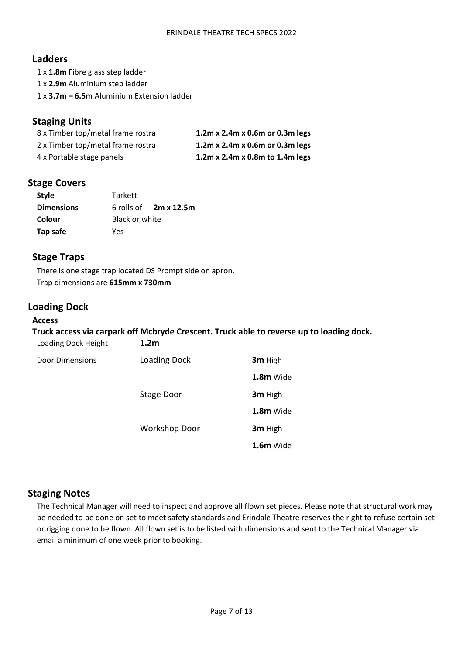### **Ladders**

1 x **1.8m** Fibre glass step ladder 1 x **2.9m** Aluminium step ladder

1 x **3.7m – 6.5m** Aluminium Extension ladder

### **Staging Units**

| 8 x Timber top/metal frame rostra | 1.2m x 2.4m x 0.6m or 0.3m legs |
|-----------------------------------|---------------------------------|
| 2 x Timber top/metal frame rostra | 1.2m x 2.4m x 0.6m or 0.3m legs |
| 4 x Portable stage panels         | 1.2m x 2.4m x 0.8m to 1.4m legs |

### <span id="page-6-0"></span>**Stage Covers**

| <b>Style</b>      | Tarkett        |                              |
|-------------------|----------------|------------------------------|
| <b>Dimensions</b> |                | 6 rolls of $2m \times 12.5m$ |
| Colour            | Black or white |                              |
| Tap safe          | Yes            |                              |

### **Stage Traps**

There is one stage trap located DS Prompt side on apron. Trap dimensions are **615mm x 730mm**

## <span id="page-6-1"></span>**Loading Dock**

#### **Access**

### **Truck access via carpark off Mcbryde Crescent. Truck able to reverse up to loading dock.**  Loading Dock Height **1.2m**

| Door Dimensions | Loading Dock         | 3m High     |
|-----------------|----------------------|-------------|
|                 |                      | 1.8m Wide   |
|                 | Stage Door           | 3m High     |
|                 |                      | 1.8m Wide   |
|                 | <b>Workshop Door</b> | 3m High     |
|                 |                      | $1.6m$ Wide |

## <span id="page-6-2"></span>**Staging Notes**

The Technical Manager will need to inspect and approve all flown set pieces. Please note that structural work may be needed to be done on set to meet safety standards and Erindale Theatre reserves the right to refuse certain set or rigging done to be flown. All flown set is to be listed with dimensions and sent to the Technical Manager via email a minimum of one week prior to booking.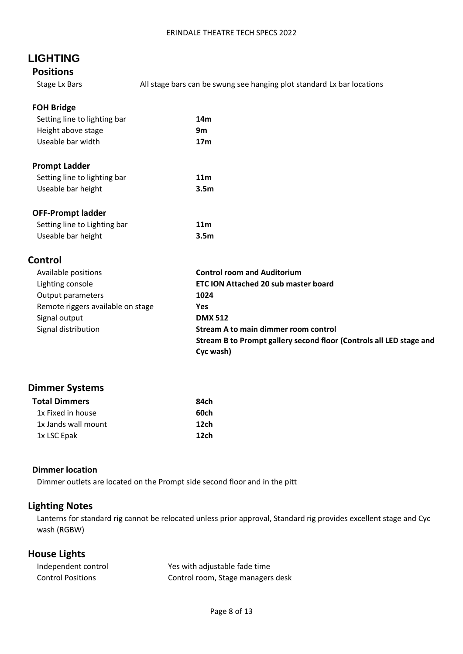# <span id="page-7-0"></span>**LIGHTING**

## <span id="page-7-1"></span>**Positions**

Stage Lx Bars **All stage bars can be swung see hanging plot standard Lx bar locations** 

### **FOH Bridge**

| 14m |
|-----|
| 9m  |
| 17m |
|     |

### **Prompt Ladder**

| Setting line to lighting bar | 11 <sub>m</sub>  |
|------------------------------|------------------|
| Useable bar height           | 3.5 <sub>m</sub> |

#### **OFF-Prompt ladder**

| Setting line to Lighting bar | 11 <sub>m</sub>  |
|------------------------------|------------------|
| Useable bar height           | 3.5 <sub>m</sub> |

### <span id="page-7-2"></span>**Control**

| Available positions               | <b>Control room and Auditorium</b>                                  |
|-----------------------------------|---------------------------------------------------------------------|
| Lighting console                  | <b>ETC ION Attached 20 sub master board</b>                         |
| Output parameters                 | 1024                                                                |
| Remote riggers available on stage | Yes                                                                 |
| Signal output                     | <b>DMX 512</b>                                                      |
| Signal distribution               | Stream A to main dimmer room control                                |
|                                   | Stream B to Prompt gallery second floor (Controls all LED stage and |
|                                   | Cyc wash)                                                           |

## <span id="page-7-3"></span>**Dimmer Systems**

| Total Dimmers       | 84ch |
|---------------------|------|
| 1x Fixed in house   | 60ch |
| 1x Jands wall mount | 12ch |
| 1x LSC Epak         | 12ch |

#### **Dimmer location**

Dimmer outlets are located on the Prompt side second floor and in the pitt

## <span id="page-7-4"></span>**Lighting Notes**

Lanterns for standard rig cannot be relocated unless prior approval, Standard rig provides excellent stage and Cyc wash (RGBW)

# <span id="page-7-5"></span>**House Lights**

| Independent control      | Yes with adjustable fade time     |
|--------------------------|-----------------------------------|
| <b>Control Positions</b> | Control room, Stage managers desk |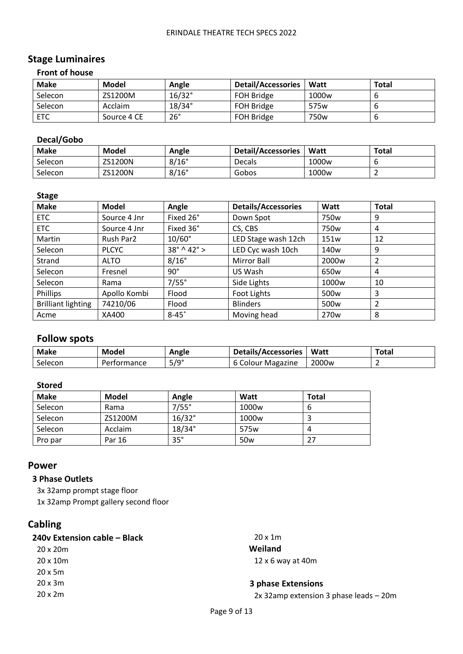#### ERINDALE THEATRE TECH SPECS 2022

# <span id="page-8-0"></span>**Stage Luminaires**

### **Front of house**

| <b>Make</b> | Model       | Angle           | <b>Detail/Accessories</b> | Watt              | Total |
|-------------|-------------|-----------------|---------------------------|-------------------|-------|
| Selecon     | ZS1200M     | $16/32^{\circ}$ | FOH Bridge                | 1000 <sub>w</sub> |       |
| Selecon     | Acclaim     | $18/34^{\circ}$ | FOH Bridge                | 575 <sub>w</sub>  |       |
| <b>ETC</b>  | Source 4 CE | $26^{\circ}$    | <b>FOH Bridge</b>         | 750 <sub>w</sub>  |       |

### **Decal/Gobo**

| <b>Make</b> | Model   | Angle        | <b>Detail/Accessories</b> | Watt              | <b>Total</b> |
|-------------|---------|--------------|---------------------------|-------------------|--------------|
| Selecon     | ZS1200N | $8/16^\circ$ | <b>Decals</b>             | 1000 <sub>w</sub> |              |
| Selecon     | ZS1200N | $8/16^\circ$ | Gobos                     | 1000 <sub>w</sub> | -            |

#### **Stage**

| <b>Make</b>               | <b>Model</b> | Angle                            | <b>Details/Accessories</b> | Watt              | <b>Total</b>   |
|---------------------------|--------------|----------------------------------|----------------------------|-------------------|----------------|
| ETC                       | Source 4 Jnr | Fixed 26°                        | Down Spot                  | 750 <sub>w</sub>  | 9              |
| <b>ETC</b>                | Source 4 Jnr | Fixed 36°                        | CS, CBS                    | 750 <sub>w</sub>  | 4              |
| Martin                    | Rush Par2    | $10/60^\circ$                    | LED Stage wash 12ch        | 151w              | 12             |
| Selecon                   | <b>PLCYC</b> | $38^{\circ} \wedge 42^{\circ}$ > | LED Cyc wash 10ch          | 140w              | 9              |
| Strand                    | <b>ALTO</b>  | $8/16^\circ$                     | Mirror Ball                | 2000 <sub>w</sub> | 2              |
| Selecon                   | Fresnel      | $90^\circ$                       | US Wash                    | 650w              | 4              |
| Selecon                   | Rama         | $7/55^\circ$                     | Side Lights                | 1000 <sub>w</sub> | 10             |
| Phillips                  | Apollo Kombi | Flood                            | Foot Lights                | 500 <sub>w</sub>  | 3              |
| <b>Brilliant lighting</b> | 74210/06     | Flood                            | <b>Blinders</b>            | 500 <sub>w</sub>  | $\overline{2}$ |
| Acme                      | XA400        | $8-45^\circ$                     | Moving head                | 270 <sub>w</sub>  | 8              |

# <span id="page-8-1"></span>**Follow spots**

| <b>Make</b> | Model       | Angle       | <b>Details/Accessories</b> | Watt              | Total |
|-------------|-------------|-------------|----------------------------|-------------------|-------|
| Selecon     | Performance | $5/9^\circ$ | 6 Colour Magazine          | 2000 <sub>w</sub> |       |

#### **Stored**

| <b>Make</b> | Model   | Angle         | Watt              | Total |
|-------------|---------|---------------|-------------------|-------|
| Selecon     | Rama    | $7/55^\circ$  | 1000 <sub>w</sub> |       |
| Selecon     | ZS1200M | $16/32^\circ$ | 1000 <sub>w</sub> |       |
| Selecon     | Acclaim | $18/34^\circ$ | 575 <sub>w</sub>  |       |
| Pro par     | Par 16  | $35^\circ$    | 50 <sub>w</sub>   |       |

#### <span id="page-8-2"></span>**Power**

### **3 Phase Outlets**

3x 32amp prompt stage floor 1x 32amp Prompt gallery second floor

<span id="page-8-3"></span>**Cabling** 

| 240v Extension cable - Black | $20 \times 1m$                         |
|------------------------------|----------------------------------------|
| $20 \times 20m$              | Weiland                                |
| $20 \times 10m$              | $12 \times 6$ way at 40m               |
| $20x$ 5m                     |                                        |
| $20 \times 3m$               | 3 phase Extensions                     |
| $20 \times 2m$               | 2x 32amp extension 3 phase leads - 20m |
|                              |                                        |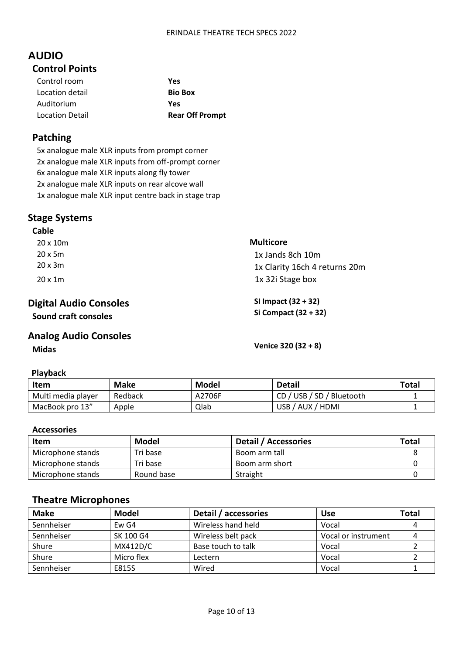# <span id="page-9-1"></span><span id="page-9-0"></span>**AUDIO Control Points**

| Control room    | Yes                    |
|-----------------|------------------------|
| Location detail | <b>Bio Box</b>         |
| Auditorium      | Yes                    |
| Location Detail | <b>Rear Off Prompt</b> |

## <span id="page-9-2"></span>**Patching**

5x analogue male XLR inputs from prompt corner 2x analogue male XLR inputs from off-prompt corner 6x analogue male XLR inputs along fly tower 2x analogue male XLR inputs on rear alcove wall 1x analogue male XLR input centre back in stage trap

### <span id="page-9-3"></span>**Stage Systems**

#### **Cable**

| $20 \times 10m$ | <b>Multicore</b>              |
|-----------------|-------------------------------|
| $20x$ 5m        | 1x Jands 8ch 10m              |
| 20 x 3m         | 1x Clarity 16ch 4 returns 20m |
| $20 \times 1m$  | 1x 32i Stage box              |

### <span id="page-9-4"></span>**Digital Audio Consoles Sound craft consoles**

### <span id="page-9-5"></span>**Analog Audio Consoles Midas Venice 320 (32 + 8)**

**SI Impact (32 + 32) Si Compact (32 + 32)**

#### **Playback**

| Item               | Make    | Model  | <b>Detail</b>        | Total |
|--------------------|---------|--------|----------------------|-------|
| Multi media player | Redback | A2706F | USB / SD / Bluetooth |       |
| MacBook pro 13"    | Apple   | Qlab   | USB / AUX / HDMI     |       |

#### **Accessories**

| <b>Item</b>       | Model      | Detail / Accessories | <b>Total</b> |
|-------------------|------------|----------------------|--------------|
| Microphone stands | Tri base   | Boom arm tall        |              |
| Microphone stands | Tri base   | Boom arm short       |              |
| Microphone stands | Round base | Straight             |              |

## <span id="page-9-6"></span>**Theatre Microphones**

| <b>Make</b> | <b>Model</b> | Detail / accessories | <b>Use</b>          | Total |
|-------------|--------------|----------------------|---------------------|-------|
| Sennheiser  | Ew G4        | Wireless hand held   | Vocal               |       |
| Sennheiser  | SK 100 G4    | Wireless belt pack   | Vocal or instrument |       |
| Shure       | MX412D/C     | Base touch to talk   | Vocal               |       |
| Shure       | Micro flex   | Lectern              | Vocal               |       |
| Sennheiser  | E815S        | Wired                | Vocal               |       |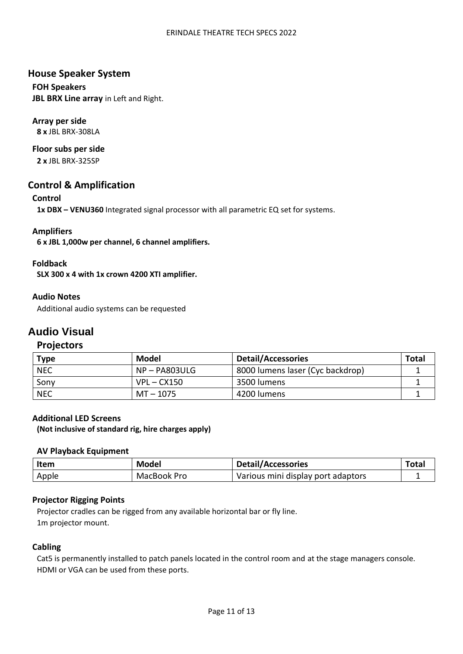#### ERINDALE THEATRE TECH SPECS 2022

### <span id="page-10-0"></span>**House Speaker System**

**FOH Speakers JBL BRX Line array** in Left and Right.

### **Array per side**

**8 x** JBL BRX-308LA

# **Floor subs per side**

**2 x** JBL BRX-325SP

### <span id="page-10-1"></span>**Control & Amplification**

### **Control**

**1x DBX – VENU360** Integrated signal processor with all parametric EQ set for systems.

### **Amplifiers**

**6 x JBL 1,000w per channel, 6 channel amplifiers.** 

#### **Foldback**

**SLX 300 x 4 with 1x crown 4200 XTI amplifier.** 

#### **Audio Notes**

Additional audio systems can be requested

## <span id="page-10-2"></span>**Audio Visual**

### <span id="page-10-3"></span>**Projectors**

| <b>Type</b> | Model           | <b>Detail/Accessories</b>        | Total |
|-------------|-----------------|----------------------------------|-------|
| <b>NEC</b>  | $NP - PA803ULG$ | 8000 lumens laser (Cyc backdrop) |       |
| Sony        | $VPL - CX150$   | 3500 lumens                      |       |
| <b>NEC</b>  | MT – 1075       | 4200 lumens                      |       |

#### **Additional LED Screens**

**(Not inclusive of standard rig, hire charges apply)** 

#### **AV Playback Equipment**

| <b>Item</b> | Model       | <b>Detail/Accessories</b>          | Tota <sub>l</sub> |
|-------------|-------------|------------------------------------|-------------------|
| Apple       | MacBook Pro | Various mini display port adaptors |                   |

#### **Projector Rigging Points**

Projector cradles can be rigged from any available horizontal bar or fly line. 1m projector mount.

#### **Cabling**

Cat5 is permanently installed to patch panels located in the control room and at the stage managers console. HDMI or VGA can be used from these ports.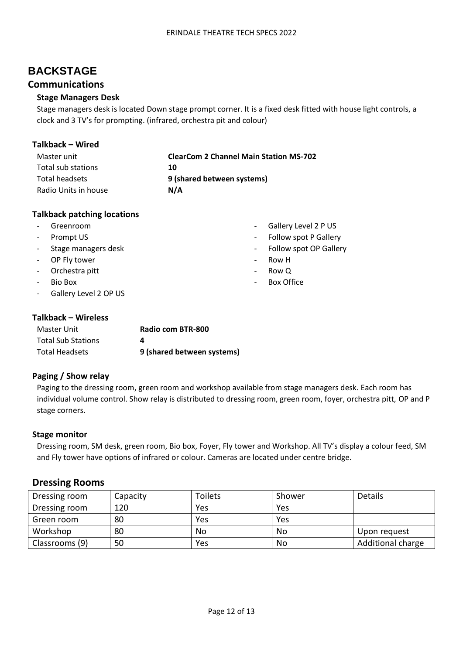# <span id="page-11-0"></span>**BACKSTAGE**

### <span id="page-11-1"></span>**Communications**

#### **Stage Managers Desk**

Stage managers desk is located Down stage prompt corner. It is a fixed desk fitted with house light controls, a clock and 3 TV's for prompting. (infrared, orchestra pit and colour)

> - Gallery Level 2 P US - Follow spot P Gallery Follow spot OP Gallery

- Row H - Row Q

Box Office

#### **Talkback – Wired**

| Master unit          | <b>ClearCom 2 Channel Main Station MS-702</b> |
|----------------------|-----------------------------------------------|
| Total sub stations   | 10                                            |
| Total headsets       | 9 (shared between systems)                    |
| Radio Units in house | N/A                                           |

#### **Talkback patching locations**

- Greenroom
- Prompt US
- Stage managers desk
- OP Fly tower
- Orchestra pitt
- Bio Box
- Gallery Level 2 OP US

#### **Talkback – Wireless**

| Master Unit               | Radio com BTR-800          |
|---------------------------|----------------------------|
| <b>Total Sub Stations</b> |                            |
| Total Headsets            | 9 (shared between systems) |

#### **Paging / Show relay**

Paging to the dressing room, green room and workshop available from stage managers desk. Each room has individual volume control. Show relay is distributed to dressing room, green room, foyer, orchestra pitt, OP and P stage corners.

#### **Stage monitor**

Dressing room, SM desk, green room, Bio box, Foyer, Fly tower and Workshop. All TV's display a colour feed, SM and Fly tower have options of infrared or colour. Cameras are located under centre bridge.

#### <span id="page-11-2"></span>**Dressing Rooms**

| Dressing room  | Capacity | Toilets | Shower | <b>Details</b>    |
|----------------|----------|---------|--------|-------------------|
| Dressing room  | 120      | Yes     | Yes    |                   |
| Green room     | 80       | Yes     | Yes    |                   |
| Workshop       | 80       | No      | No     | Upon request      |
| Classrooms (9) | 50       | Yes     | No     | Additional charge |